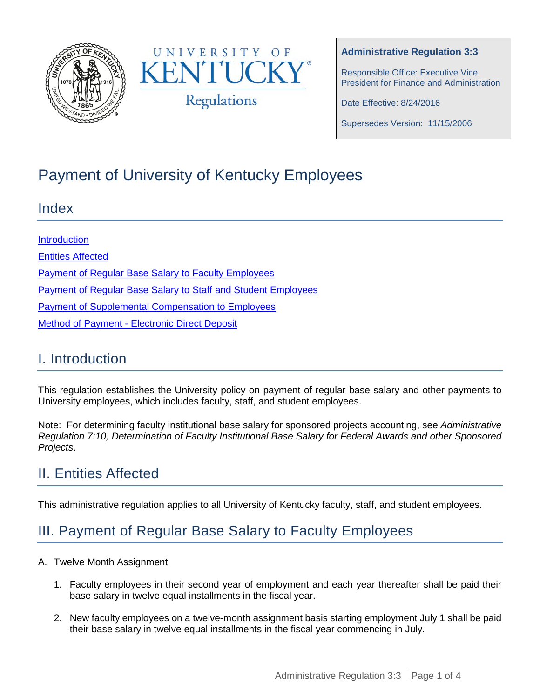



#### **Administrative Regulation 3:3**

Responsible Office: Executive Vice President for Finance and Administration

Date Effective: 8/24/2016

Supersedes Version: 11/15/2006

# Payment of University of Kentucky Employees

### Index

**[Introduction](#page-0-0)** [Entities Affected](#page-0-1) **[Payment of Regular Base Salary to Faculty Employees](#page-0-2)** [Payment of Regular Base Salary to Staff and Student](#page-2-0) Employees [Payment of Supplemental Compensation to Employees](#page-2-1) Method of Payment - [Electronic Direct Deposit](#page-2-2)

### <span id="page-0-0"></span>I. Introduction

This regulation establishes the University policy on payment of regular base salary and other payments to University employees, which includes faculty, staff, and student employees.

Note: For determining faculty institutional base salary for sponsored projects accounting, see *Administrative Regulation 7:10, Determination of Faculty Institutional Base Salary for Federal Awards and other Sponsored Projects*.

## <span id="page-0-1"></span>II. Entities Affected

This administrative regulation applies to all University of Kentucky faculty, staff, and student employees.

## <span id="page-0-2"></span>III. Payment of Regular Base Salary to Faculty Employees

#### A. Twelve Month Assignment

- 1. Faculty employees in their second year of employment and each year thereafter shall be paid their base salary in twelve equal installments in the fiscal year.
- 2. New faculty employees on a twelve-month assignment basis starting employment July 1 shall be paid their base salary in twelve equal installments in the fiscal year commencing in July.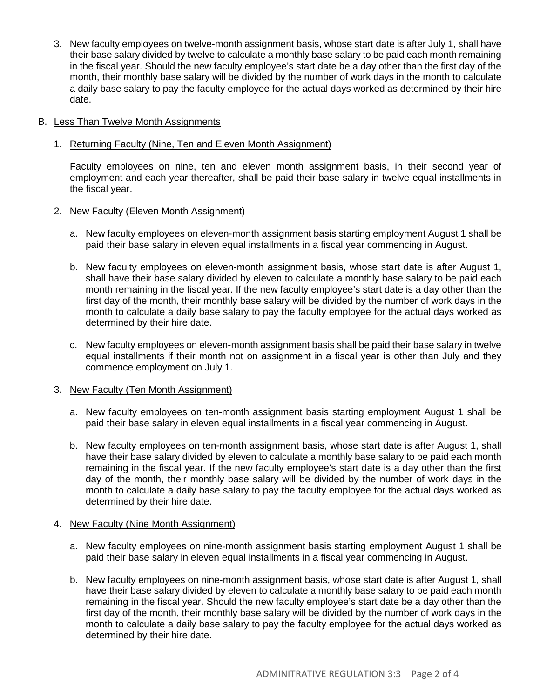3. New faculty employees on twelve-month assignment basis, whose start date is after July 1, shall have their base salary divided by twelve to calculate a monthly base salary to be paid each month remaining in the fiscal year. Should the new faculty employee's start date be a day other than the first day of the month, their monthly base salary will be divided by the number of work days in the month to calculate a daily base salary to pay the faculty employee for the actual days worked as determined by their hire date.

#### B. Less Than Twelve Month Assignments

#### 1. Returning Faculty (Nine, Ten and Eleven Month Assignment)

Faculty employees on nine, ten and eleven month assignment basis, in their second year of employment and each year thereafter, shall be paid their base salary in twelve equal installments in the fiscal year.

#### 2. New Faculty (Eleven Month Assignment)

- a. New faculty employees on eleven-month assignment basis starting employment August 1 shall be paid their base salary in eleven equal installments in a fiscal year commencing in August.
- b. New faculty employees on eleven-month assignment basis, whose start date is after August 1, shall have their base salary divided by eleven to calculate a monthly base salary to be paid each month remaining in the fiscal year. If the new faculty employee's start date is a day other than the first day of the month, their monthly base salary will be divided by the number of work days in the month to calculate a daily base salary to pay the faculty employee for the actual days worked as determined by their hire date.
- c. New faculty employees on eleven-month assignment basis shall be paid their base salary in twelve equal installments if their month not on assignment in a fiscal year is other than July and they commence employment on July 1.

#### 3. New Faculty (Ten Month Assignment)

- a. New faculty employees on ten-month assignment basis starting employment August 1 shall be paid their base salary in eleven equal installments in a fiscal year commencing in August.
- b. New faculty employees on ten-month assignment basis, whose start date is after August 1, shall have their base salary divided by eleven to calculate a monthly base salary to be paid each month remaining in the fiscal year. If the new faculty employee's start date is a day other than the first day of the month, their monthly base salary will be divided by the number of work days in the month to calculate a daily base salary to pay the faculty employee for the actual days worked as determined by their hire date.

#### 4. New Faculty (Nine Month Assignment)

- a. New faculty employees on nine-month assignment basis starting employment August 1 shall be paid their base salary in eleven equal installments in a fiscal year commencing in August.
- b. New faculty employees on nine-month assignment basis, whose start date is after August 1, shall have their base salary divided by eleven to calculate a monthly base salary to be paid each month remaining in the fiscal year. Should the new faculty employee's start date be a day other than the first day of the month, their monthly base salary will be divided by the number of work days in the month to calculate a daily base salary to pay the faculty employee for the actual days worked as determined by their hire date.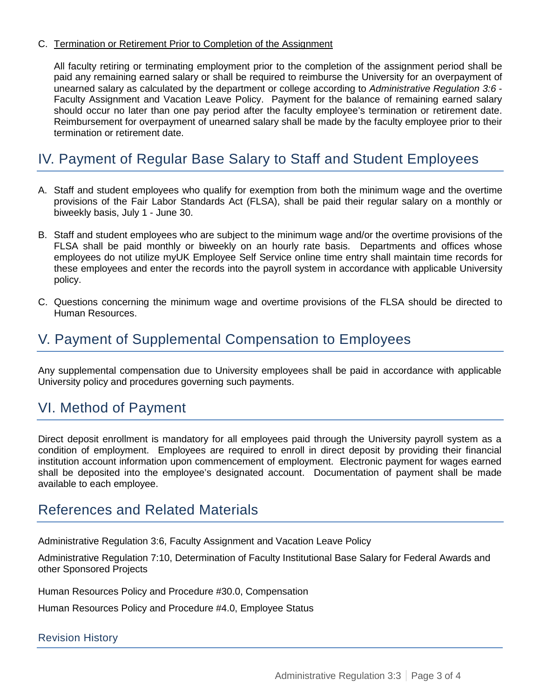#### C. Termination or Retirement Prior to Completion of the Assignment

All faculty retiring or terminating employment prior to the completion of the assignment period shall be paid any remaining earned salary or shall be required to reimburse the University for an overpayment of unearned salary as calculated by the department or college according to *Administrative Regulation 3:6* - Faculty Assignment and Vacation Leave Policy. Payment for the balance of remaining earned salary should occur no later than one pay period after the faculty employee's termination or retirement date. Reimbursement for overpayment of unearned salary shall be made by the faculty employee prior to their termination or retirement date.

## <span id="page-2-0"></span>IV. Payment of Regular Base Salary to Staff and Student Employees

- A. Staff and student employees who qualify for exemption from both the minimum wage and the overtime provisions of the Fair Labor Standards Act (FLSA), shall be paid their regular salary on a monthly or biweekly basis, July 1 - June 30.
- B. Staff and student employees who are subject to the minimum wage and/or the overtime provisions of the FLSA shall be paid monthly or biweekly on an hourly rate basis. Departments and offices whose employees do not utilize myUK Employee Self Service online time entry shall maintain time records for these employees and enter the records into the payroll system in accordance with applicable University policy.
- C. Questions concerning the minimum wage and overtime provisions of the FLSA should be directed to Human Resources.

### <span id="page-2-1"></span>V. Payment of Supplemental Compensation to Employees

Any supplemental compensation due to University employees shall be paid in accordance with applicable University policy and procedures governing such payments.

### <span id="page-2-2"></span>VI. Method of Payment

Direct deposit enrollment is mandatory for all employees paid through the University payroll system as a condition of employment. Employees are required to enroll in direct deposit by providing their financial institution account information upon commencement of employment. Electronic payment for wages earned shall be deposited into the employee's designated account. Documentation of payment shall be made available to each employee.

### References and Related Materials

Administrative Regulation 3:6, Faculty Assignment and Vacation Leave Policy

Administrative Regulation 7:10, Determination of Faculty Institutional Base Salary for Federal Awards and other Sponsored Projects

Human Resources Policy and Procedure #30.0, Compensation

Human Resources Policy and Procedure #4.0, Employee Status

#### Revision History